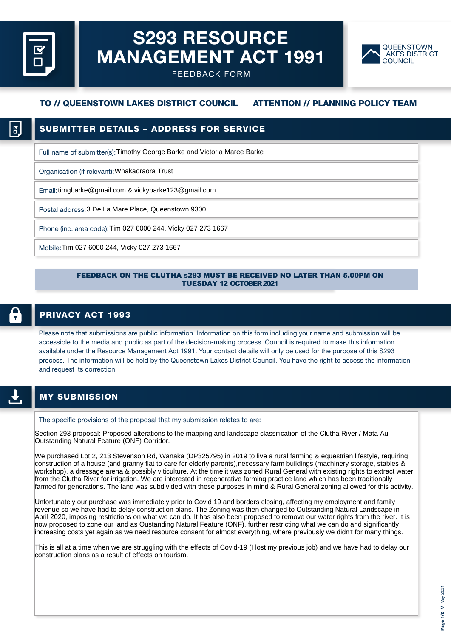# S293 RESOURCE MANAGEMENT ACT 1991



FEEDBACK FORM

## TO // QUEENSTOWN LAKES DISTRICT COUNCIL ATTENTION // PLANNING POLICY TEAM

# SUBMITTER DETAILS – ADDRESS FOR SERVICE

Full name of submitter(s): Timothy George Barke and Victoria Maree Barke

Organisation (if relevant): Whakaoraora Trust

Email: timgbarke@gmail.com & vickybarke123@gmail.com

Postal address: 3 De La Mare Place, Queenstown 9300

Phone (inc. area code): Tim 027 6000 244, Vicky 027 273 1667

Mobile: Tim 027 6000 244, Vicky 027 273 1667

### FEEDBACK ON THE CLUTHA s293 MUST BE RECEIVED NO LATER THAN 5.00PM ON TUESDAY 12 OCTOBER 2021

### PRIVACY ACT 1993

Please note that submissions are public information. Information on this form including your name and submission will be accessible to the media and public as part of the decision-making process. Council is required to make this information available under the Resource Management Act 1991. Your contact details will only be used for the purpose of this S293 process. The information will be held by the Queenstown Lakes District Council. You have the right to access the information and request its correction.

## MY SUBMISSION

The specific provisions of the proposal that my submission relates to are:

Section 293 proposal: Proposed alterations to the mapping and landscape classification of the Clutha River / Mata Au Outstanding Natural Feature (ONF) Corridor.

We purchased Lot 2, 213 Stevenson Rd, Wanaka (DP325795) in 2019 to live a rural farming & equestrian lifestyle, requiring construction of a house (and granny flat to care for elderly parents),necessary farm buildings (machinery storage, stables & workshop), a dressage arena & possibly viticulture. At the time it was zoned Rural General with existing rights to extract water from the Clutha River for irrigation. We are interested in regenerative farming practice land which has been traditionally farmed for generations. The land was subdivided with these purposes in mind & Rural General zoning allowed for this activity.

Unfortunately our purchase was immediately prior to Covid 19 and borders closing, affecting my employment and family revenue so we have had to delay construction plans. The Zoning was then changed to Outstanding Natural Landscape in April 2020, imposing restrictions on what we can do. It has also been proposed to remove our water rights from the river. It is now proposed to zone our land as Oustanding Natural Feature (ONF), further restricting what we can do and significantly increasing costs yet again as we need resource consent for almost everything, where previously we didn't for many things.

This is all at a time when we are struggling with the effects of Covid-19 (I lost my previous job) and we have had to delay our construction plans as a result of effects on tourism.